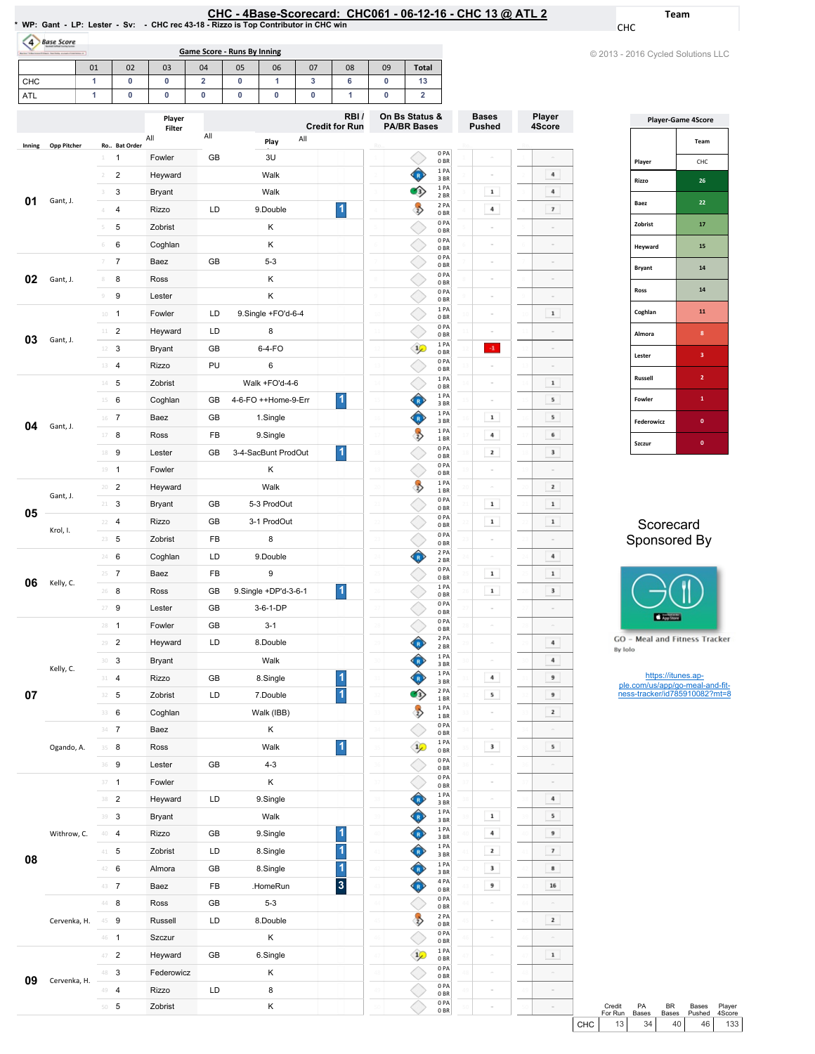|                                                                                     | CHC - 4Base-Scorecard: CHC061 - 06-12-16 - CHC 13 @ ATL 2 |
|-------------------------------------------------------------------------------------|-----------------------------------------------------------|
| * WP: Gant - LP: Lester - Sv: - CHC rec 43-18 - Rizzo is Top Contributor in CHC win |                                                           |

Bases Pushed

Ro..

Player 4Score

CHC

Team

| <b>Base Score</b>              |  |
|--------------------------------|--|
| <b>Rendell Indiand Insulan</b> |  |

| <b>Base Score</b>                                                                         |    |                |     |                |    |      |      |    |                                      |              |
|-------------------------------------------------------------------------------------------|----|----------------|-----|----------------|----|------|------|----|--------------------------------------|--------------|
| Game Score - Runs By Inning<br>Borks "Educational Education Sections average distances of |    |                |     |                |    |      |      |    |                                      |              |
|                                                                                           | 01 | 02             | 03  | 04             | 05 | 06   | 07   | 08 | 09                                   | <b>Total</b> |
| <b>CHC</b>                                                                                |    | 0              | 0   | $\overline{2}$ | 0  |      | 3    | 6  | 0                                    | 13           |
| ATL                                                                                       |    | O              | O   | O              | O  | 0    | 0    |    | o                                    | າ            |
| Player<br><b>Credit for Run</b><br>Filter                                                 |    |                |     |                |    |      | RBI/ |    | On Bs Status &<br><b>PA/BR Bases</b> |              |
| <b>Opp Pitcher</b><br>Inning                                                              |    | Ro., Bat Order | All | All            |    | Play | All  |    | Ro                                   |              |

|               | © 2013 - 2016 Cycled Solutions LLC |
|---------------|------------------------------------|
|               |                                    |
|               |                                    |
|               |                                    |
|               | <b>Player-Game 4Score</b>          |
|               | Team                               |
| Player        | CHC                                |
| Rizzo         | 26                                 |
| Baez          | 22                                 |
| Zobrist       | 17                                 |
| Heyward       | 15                                 |
| <b>Bryant</b> | 14                                 |
| Ross          | 14                                 |
| Coghlan       | 11                                 |
| Almora        | 8                                  |
| Lester        | 3                                  |
| Russell       | $\overline{\mathbf{2}}$            |
| Fowler        | $\mathbf{1}$                       |

## Scorecard Sponsored By

Szczur **0** 

Federowicz



**GO** - Meal and Fitness Tracker By Iolo

https://itunes.ap-ple.com/us/app/go-meal-and-fit-ness-tracker/id785910082?mt=8

| Gant, J.<br>Gant, J.     | $\overline{\mathbf{c}}$<br>$\overline{2}$<br>3<br>$\ensuremath{\mathsf{3}}$<br>$\overline{\mathbf{4}}$<br>4<br>5<br>5                                                           | Heyward<br>Bryant<br><b>Rizzo</b> | LD | Walk<br>Walk         |                         |         | $\bullet$           | 1PA<br>3 BR<br>1PA<br>2 BR |                 | $\mathbf 1$    |    | 4<br>$\bf{4}$           |
|--------------------------|---------------------------------------------------------------------------------------------------------------------------------------------------------------------------------|-----------------------------------|----|----------------------|-------------------------|---------|---------------------|----------------------------|-----------------|----------------|----|-------------------------|
|                          |                                                                                                                                                                                 |                                   |    |                      |                         |         |                     |                            |                 |                |    |                         |
|                          |                                                                                                                                                                                 |                                   |    |                      |                         |         |                     |                            |                 |                |    |                         |
|                          |                                                                                                                                                                                 |                                   |    | 9.Double             | $\overline{\mathbf{1}}$ |         | $\rightarrow$       | 2PA<br>0 <sub>BR</sub>     |                 | 4              |    | 7                       |
|                          |                                                                                                                                                                                 | Zobrist                           |    | Κ                    |                         |         |                     | 0PA<br>0 <sub>BR</sub>     |                 |                |    |                         |
|                          | 6<br>6                                                                                                                                                                          | Coghlan                           |    | Κ                    |                         |         |                     | 0PA<br>0 <sub>BR</sub>     |                 |                |    |                         |
|                          | $\overline{7}$<br>$\overline{\gamma}$                                                                                                                                           | Baez                              | GB | $5 - 3$              |                         |         |                     | 0 PA<br>0 <sub>BR</sub>    |                 | $\alpha$       |    | ä,                      |
|                          | 8<br>8                                                                                                                                                                          | Ross                              |    | Κ                    |                         |         |                     | 0PA<br>0 <sub>BR</sub>     |                 |                |    |                         |
|                          | 9<br>$\,9$                                                                                                                                                                      | Lester                            |    | Κ                    |                         |         |                     | 0 PA<br>0 BR               |                 |                |    |                         |
|                          | $\mathbf{1}$<br>$10\,$                                                                                                                                                          | Fowler                            | LD | 9.Single +FO'd-6-4   |                         |         |                     | 1 PA<br>0 <sub>BR</sub>    | 10              | $\alpha$       |    | $\mathbf 1$             |
|                          | $\overline{\mathbf{c}}$<br>$11\,$                                                                                                                                               | Heyward                           | LD | 8                    |                         |         |                     | 0PA<br>0 <sub>BR</sub>     |                 | $\alpha$       |    |                         |
| 03                       | 12<br>3                                                                                                                                                                         | <b>Bryant</b>                     | GB | 6-4-FO               |                         | 12      | $\mathcal{P}$       | 1PA<br>0 <sub>BR</sub>     | 12              | $4^{\circ}$    |    |                         |
|                          | 4<br>13                                                                                                                                                                         | Rizzo                             | PU | 6                    |                         |         |                     | 0 PA<br>0 <sub>BR</sub>    |                 | $\overline{a}$ |    |                         |
|                          | 5<br>$14\,$                                                                                                                                                                     | Zobrist                           |    | Walk +FO'd-4-6       |                         |         |                     | 1PA<br>0 <sub>BR</sub>     | 14              | ö              |    | $\mathbf 1$             |
|                          | 15<br>6                                                                                                                                                                         | Coghlan                           | GB | 4-6-FO ++Home-9-Err  | 1                       | 15      | СR.                 | 1PA<br>3 BR                | 15              |                |    | 5                       |
|                          | $\overline{7}$<br>16                                                                                                                                                            | Baez                              | GB | 1.Single             |                         |         | Ô                   | 1 PA<br>3 BR               | 16              | $\mathbf 1$    |    | 5                       |
|                          | 8<br>17                                                                                                                                                                         | Ross                              | FB | 9.Single             |                         |         | $\rightarrow$       | 1PA<br>1 BR                | 17              | $\sqrt{4}$     |    | 6                       |
|                          | 9<br>$18\,$                                                                                                                                                                     | Lester                            | GB | 3-4-SacBunt ProdOut  | 1                       | 18      |                     | 0PA<br>0 <sub>BR</sub>     | 18              | 2              |    | $\mathbf 3$             |
|                          | $\mathbf{1}$<br>19                                                                                                                                                              | Fowler                            |    | κ                    |                         |         |                     | 0 PA<br>0 <sub>BR</sub>    | 19              | $\overline{a}$ |    | ä,                      |
|                          | $\overline{2}$<br>20                                                                                                                                                            | Heyward                           |    | Walk                 |                         | 20      | $\ddot{\psi}$       | 1 PA<br>1 BR               | $^{20}$         |                |    | 2                       |
|                          | 3<br>21                                                                                                                                                                         | <b>Bryant</b>                     | GB | 5-3 ProdOut          |                         | $_{21}$ |                     | 0PA<br>0 <sub>BR</sub>     | $\overline{21}$ | $\mathbf 1$    |    | $\mathbf 1$             |
|                          | 4<br>22                                                                                                                                                                         | <b>Rizzo</b>                      | GB | 3-1 ProdOut          |                         |         |                     | 0 PA<br>0 <sub>BR</sub>    |                 | $\mathbf 1$    |    | $\mathbf 1$             |
|                          | 23<br>5                                                                                                                                                                         | Zobrist                           | FB | 8                    |                         | 23      |                     | 0 PA<br>0 <sub>BR</sub>    | 23              |                |    |                         |
|                          | 6<br>24                                                                                                                                                                         | Coghlan                           | LD | 9.Double             |                         | 24      | ◈                   | 2PA<br>2 BR                | 24              |                |    | 4                       |
|                          | $\overline{7}$<br>25                                                                                                                                                            | Baez                              | FB | $\boldsymbol{9}$     |                         | $^{25}$ |                     | 0PA<br>0 <sub>BR</sub>     | $\overline{25}$ | $\mathbf 1$    |    | $\mathbf 1$             |
|                          | 8<br>26                                                                                                                                                                         | Ross                              | GB | 9.Single +DP'd-3-6-1 | $\overline{\mathbf{1}}$ | 26      |                     | 1PA<br>0 <sub>BR</sub>     | 26              | $\mathbf 1$    |    | $\mathbf 3$             |
|                          | 27<br>9                                                                                                                                                                         | Lester                            | GB | 3-6-1-DP             |                         | 27      |                     | 0PA<br>0 <sub>BR</sub>     | 27              |                |    |                         |
|                          | $\mathbf{1}$<br>28                                                                                                                                                              | Fowler                            | GB | $3 - 1$              |                         | 28      |                     | 0 PA<br>0 <sub>BR</sub>    | 28              | ö              |    | $\alpha$                |
|                          | $\overline{\mathbf{c}}$<br>29                                                                                                                                                   | Heyward                           | LD | 8.Double             |                         | 29      | ◈                   | 2 PA<br>2 BR               | 29              | ä,             |    | 4                       |
|                          | 3<br>30                                                                                                                                                                         | <b>Bryant</b>                     |    | Walk                 |                         | 30      |                     | 1 PA<br>3 BR               | 30              |                |    | 4                       |
|                          | 4<br>31                                                                                                                                                                         | Rizzo                             | GB | 8.Single             | 1                       |         | ♦                   | 1PA<br>3 BR                |                 | 4              |    | 9                       |
|                          | 5<br>32                                                                                                                                                                         | Zobrist                           | LD | 7.Double             | $\overline{\mathbf{1}}$ | 32      | $\bullet$           | 2 PA<br>1BR                | 32              | 5              |    | 9                       |
|                          | 6<br>33                                                                                                                                                                         | Coghlan                           |    | Walk (IBB)           |                         | 33      | $\ddot{\mathrm{z}}$ | 1PA<br>1BR                 | 33              |                |    | $\mathbf{z}$            |
|                          | $\overline{7}$<br>34                                                                                                                                                            | Baez                              |    | κ                    |                         |         |                     | 0PA<br>0 <sub>BR</sub>     | ż,              | ö              |    |                         |
| Ogando, A.               | 8<br>35                                                                                                                                                                         | Ross                              |    | Walk                 | $\overline{1}$          |         | $\frac{1}{2}$       | 0 BR                       |                 | 3              |    | 5                       |
|                          | 9<br>36                                                                                                                                                                         | Lester                            | GB | $4 - 3$              |                         |         |                     | 0B                         |                 | $\overline{a}$ |    |                         |
|                          | 37<br>$\mathbf{1}$                                                                                                                                                              | Fowler                            |    | Κ                    |                         |         |                     | 0 <sub>BR</sub>            | 37              | ó,             |    |                         |
|                          | $\overline{\mathbf{c}}$<br>38                                                                                                                                                   | Heyward                           | LD | 9.Single             |                         | 38      |                     | 3 BR                       | 38              |                |    | $\bf{4}$                |
|                          | 39<br>3                                                                                                                                                                         | Bryant                            |    | Walk                 |                         | 39      |                     | 1 PA<br>3 BR               | 39              | $\mathbf 1$    |    | 5                       |
| Withrow, C.              | $\overline{4}$<br>40                                                                                                                                                            | Rizzo                             | GB | 9.Single             | 1                       | 40      |                     | 3 BR                       | 40              | 4              | 40 | 9                       |
|                          | 5<br>$4\mathbb{1}$                                                                                                                                                              | Zobrist                           | LD | 8.Single             | 1                       | 41      |                     | 3 BR                       | 41              | $\mathbf{z}$   |    | $\overline{\textbf{z}}$ |
|                          | 6<br>42                                                                                                                                                                         | Almora                            | GB | 8.Single             | 1                       | 42      |                     | 1 PA<br>3 BR               | 42              | $\mathbf 3$    |    | $\mathbf{g}$            |
|                          | $\overline{7}$<br>43                                                                                                                                                            | Baez                              | FB | .HomeRun             | $\mathbf 3$             | 43      | œ                   | 4 PA<br>0 BR               | 43              | 9              |    | 16                      |
|                          | 8<br>44                                                                                                                                                                         | Ross                              | GB | $5 - 3$              |                         | 44      |                     | 0 PA<br>0 BR               | 44              | ó,             |    |                         |
| 07<br>08<br>Cervenka, H. | 9<br>45                                                                                                                                                                         | Russell                           | LD | 8.Double             |                         | 45      | $\rightarrow$       | 2 PA<br>0B                 | 45              | $\alpha$       |    | 2                       |
|                          | $\mathbf{1}$<br>46                                                                                                                                                              | Szczur                            |    | Κ                    |                         | 46      |                     | 0PA<br>0 <sub>BR</sub>     | 46              | ò.             |    |                         |
|                          | 1PA<br>0PA<br>0 PA<br>1 PA<br>1 PA<br>1PA<br>1PA<br>GB<br>$\mathcal{P}$<br>$\overline{\mathbf{c}}$<br>Heyward<br>6.Single<br>47<br>47<br>47<br>$\overline{\phantom{a}}$<br>0 BR |                                   |    | $\mathbf 1$          |                         |         |                     |                            |                 |                |    |                         |
| 09                       | 3<br>48                                                                                                                                                                         | Federowicz                        |    | Κ                    |                         | 48      |                     | 0 PA<br>0 BR               | 48              | $\alpha$       |    | $\alpha$                |
|                          | 49<br>$\overline{\mathbf{4}}$                                                                                                                                                   | Rizzo                             | LD | 8                    |                         | g.      |                     | 0 PA<br>0 BR               | 49              | $\alpha$       |    |                         |
|                          | 50 <sub>5</sub>                                                                                                                                                                 | Zobrist                           |    | Κ                    |                         | 50      |                     | 0 PA<br>0 BR               | 50              |                |    | $\alpha$                |
|                          | Gant, J.<br>Gant, J.<br>Gant, J.<br>Krol, I.<br>Kelly, C.<br>Kelly, C.<br>Cervenka, H.                                                                                          |                                   |    |                      |                         |         |                     | $\hat{\bullet}$            |                 |                |    |                         |

Credit ForRun PA Bases BR  $\begin{array}{c}\n\text{Bases} \\
40\n\end{array}$ Credit PA BR Bases Player<br>
For Run Bases Bases Pushed 4Score<br>
CHC 13 34 40 46 133 Player 4Score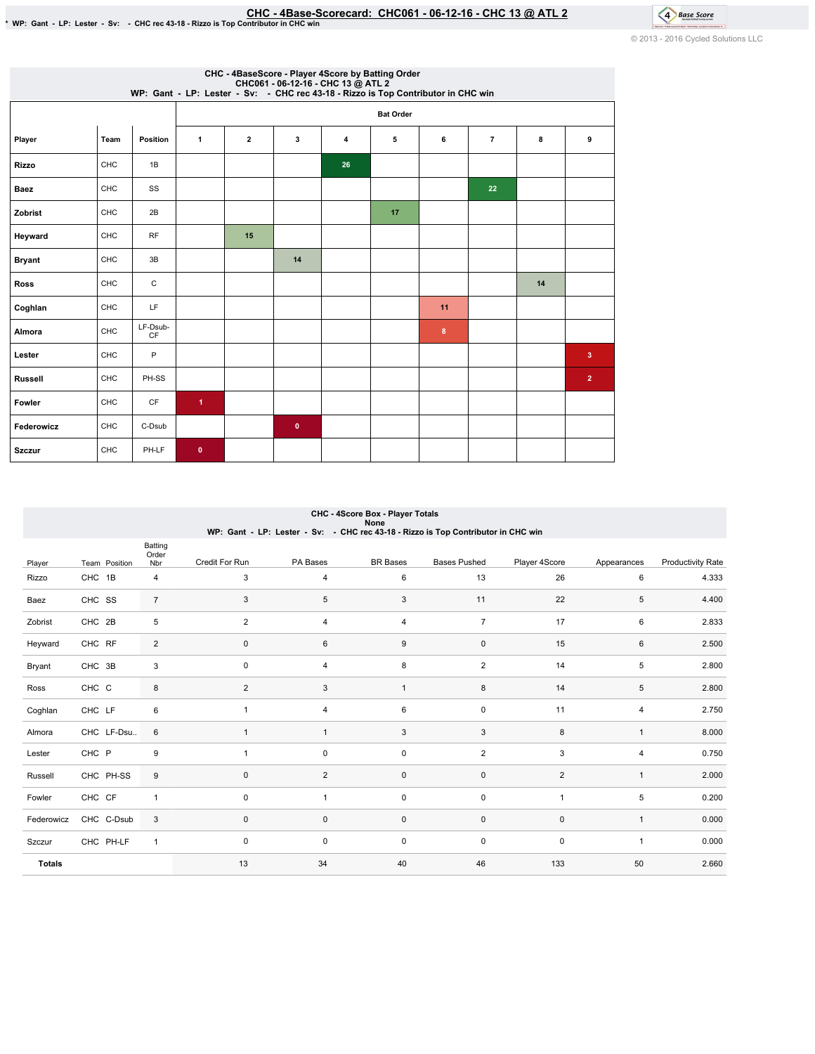# EHC-4Base-Scorecard: CHC061 - 06-12-16 - CHC 13 @ ATL 2<br>\*WP: Gant - LP: Lester - Sv: - CHC rec 43-18 - Rizzo is Top Contributor in CHC win

© 2013 - 2016 Cycled Solutions LLC

4 Base Score

| CHC - 4BaseScore - Player 4Score by Batting Order<br>CHC061 - 06-12-16 - CHC 13 @ ATL 2<br>WP: Gant - LP: Lester - Sv: - CHC rec 43-18 - Rizzo is Top Contributor in CHC win |            |                |                      |                  |           |    |    |    |                |    |                |
|------------------------------------------------------------------------------------------------------------------------------------------------------------------------------|------------|----------------|----------------------|------------------|-----------|----|----|----|----------------|----|----------------|
|                                                                                                                                                                              |            |                |                      | <b>Bat Order</b> |           |    |    |    |                |    |                |
| Player                                                                                                                                                                       | Team       | Position       | $\mathbf{1}$         | $\overline{2}$   | 3         | 4  | 5  | 6  | $\overline{7}$ | 8  | 9              |
| <b>Rizzo</b>                                                                                                                                                                 | CHC        | 1B             |                      |                  |           | 26 |    |    |                |    |                |
| <b>Baez</b>                                                                                                                                                                  | <b>CHC</b> | SS             |                      |                  |           |    |    |    | 22             |    |                |
| Zobrist                                                                                                                                                                      | CHC        | 2B             |                      |                  |           |    | 17 |    |                |    |                |
| Heyward                                                                                                                                                                      | CHC        | <b>RF</b>      |                      | 15               |           |    |    |    |                |    |                |
| <b>Bryant</b>                                                                                                                                                                | <b>CHC</b> | 3B             |                      |                  | 14        |    |    |    |                |    |                |
| <b>Ross</b>                                                                                                                                                                  | CHC        | С              |                      |                  |           |    |    |    |                | 14 |                |
| Coghlan                                                                                                                                                                      | CHC        | LF.            |                      |                  |           |    |    | 11 |                |    |                |
| Almora                                                                                                                                                                       | CHC        | LF-Dsub-<br>CF |                      |                  |           |    |    | 8  |                |    |                |
| Lester                                                                                                                                                                       | CHC        | P              |                      |                  |           |    |    |    |                |    | 3              |
| <b>Russell</b>                                                                                                                                                               | CHC        | PH-SS          |                      |                  |           |    |    |    |                |    | $\overline{2}$ |
| Fowler                                                                                                                                                                       | <b>CHC</b> | CF             | $\blacktriangleleft$ |                  |           |    |    |    |                |    |                |
| Federowicz                                                                                                                                                                   | CHC        | C-Dsub         |                      |                  | $\bullet$ |    |    |    |                |    |                |
| <b>Szczur</b>                                                                                                                                                                | CHC        | PH-LF          | $\bullet$            |                  |           |    |    |    |                |    |                |

|               | CHC - 4Score Box - Player Totals<br>None                                          |                         |                |                |                     |                     |                |                |                          |  |  |  |
|---------------|-----------------------------------------------------------------------------------|-------------------------|----------------|----------------|---------------------|---------------------|----------------|----------------|--------------------------|--|--|--|
|               | WP: Gant - LP: Lester - Sv: - CHC rec 43-18 - Rizzo is Top Contributor in CHC win |                         |                |                |                     |                     |                |                |                          |  |  |  |
| Player        | Team Position                                                                     | Batting<br>Order<br>Nbr | Credit For Run | PA Bases       | <b>BR</b> Bases     | <b>Bases Pushed</b> | Player 4Score  | Appearances    | <b>Productivity Rate</b> |  |  |  |
| Rizzo         | CHC 1B                                                                            | 4                       | 3              | 4              | 6                   | 13                  | 26             | 6              | 4.333                    |  |  |  |
| Baez          | CHC SS                                                                            | $\overline{7}$          | 3              | 5              | 3                   | 11                  | 22             | 5              | 4.400                    |  |  |  |
| Zobrist       | CHC 2B                                                                            | 5                       | 2              | 4              | $\overline{4}$      | $\overline{7}$      | 17             | 6              | 2.833                    |  |  |  |
| Heyward       | CHC RF                                                                            | $\overline{c}$          | $\mathsf 0$    | 6              | 9                   | $\pmb{0}$           | 15             | 6              | 2.500                    |  |  |  |
| Bryant        | CHC 3B                                                                            | 3                       | $\mathsf 0$    | 4              | 8                   | $\sqrt{2}$          | 14             | 5              | 2.800                    |  |  |  |
| Ross          | CHC C                                                                             | 8                       | $\overline{2}$ | 3              | $\mathbf{1}$        | $\bf 8$             | 14             | 5              | 2.800                    |  |  |  |
| Coghlan       | CHC LF                                                                            | 6                       | $\overline{1}$ | 4              | 6                   | $\pmb{0}$           | 11             | $\overline{4}$ | 2.750                    |  |  |  |
| Almora        | CHC LF-Dsu                                                                        | 6                       | $\overline{1}$ | $\mathbf{1}$   | 3                   | 3                   | 8              | $\mathbf{1}$   | 8.000                    |  |  |  |
| Lester        | CHC P                                                                             | 9                       | $\overline{1}$ | 0              | 0                   | $\sqrt{2}$          | 3              | 4              | 0.750                    |  |  |  |
| Russell       | CHC PH-SS                                                                         | 9                       | $\mathbf 0$    | $\overline{2}$ | $\mathsf{O}\xspace$ | 0                   | $\overline{2}$ | $\mathbf{1}$   | 2.000                    |  |  |  |
| Fowler        | CHC CF                                                                            | $\mathbf{1}$            | $\mathbf 0$    | $\mathbf{1}$   | 0                   | 0                   | 1              | 5              | 0.200                    |  |  |  |
| Federowicz    | CHC C-Dsub                                                                        | 3                       | $\mathbf 0$    | 0              | $\mathsf{O}\xspace$ | 0                   | $\mathbf 0$    | $\mathbf{1}$   | 0.000                    |  |  |  |
| Szczur        | CHC PH-LF                                                                         | $\mathbf{1}$            | $\mathsf 0$    | 0              | $\mathsf{O}\xspace$ | $\pmb{0}$           | $\pmb{0}$      | $\mathbf{1}$   | 0.000                    |  |  |  |
| <b>Totals</b> |                                                                                   |                         | 13             | 34             | 40                  | 46                  | 133            | 50             | 2.660                    |  |  |  |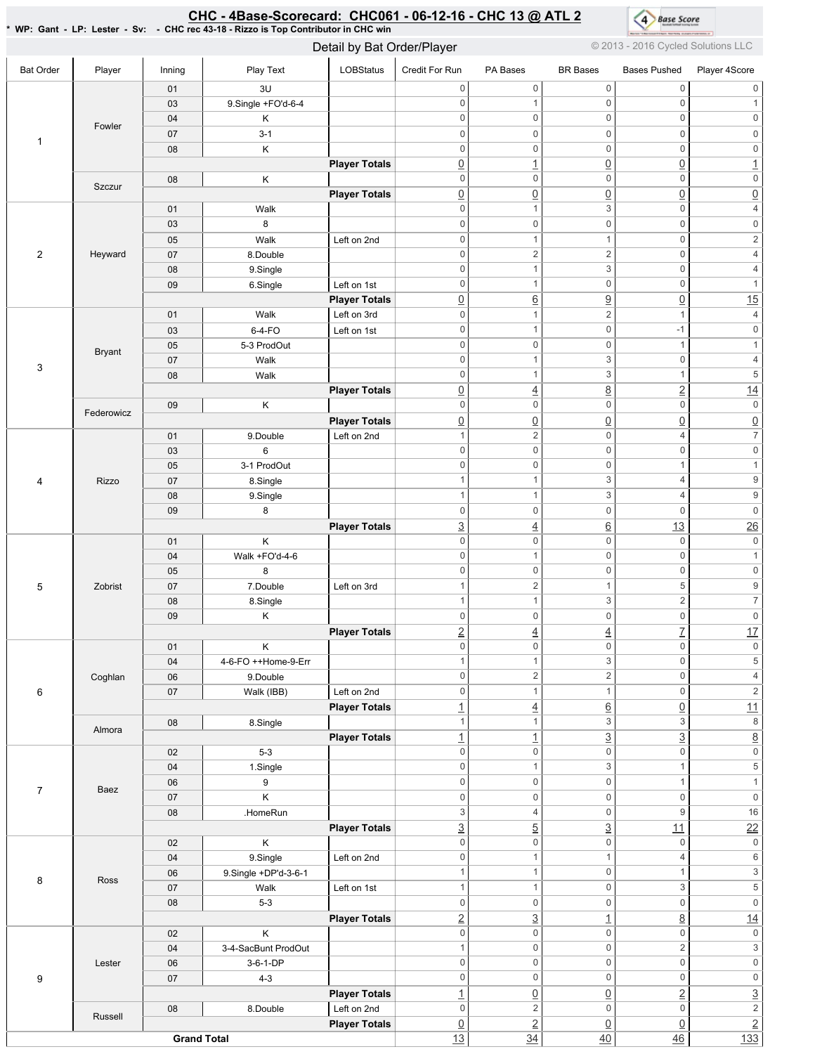### <u>CHC - 4Base-Scorecard: CHC061 - 06-12-16 - CHC 13 @ ATL 2</u>



\*WP:Gant-LP:Lester-Sv: -CHCrec43-18-RizzoisTopContributorinCHCwin

Detail by Bat Order/Player © 2013 - 2016 Cycled Solutions LLC

| <b>Bat Order</b> | Player        | Inning             | Play Text            | LOBStatus            | Credit For Run            | PA Bases                                   | <b>BR Bases</b>                    | <b>Bases Pushed</b>                | Player 4Score            |
|------------------|---------------|--------------------|----------------------|----------------------|---------------------------|--------------------------------------------|------------------------------------|------------------------------------|--------------------------|
|                  |               | 01                 | 3U                   |                      | 0                         | $\mathsf{O}\xspace$                        | $\mathsf 0$                        | $\boldsymbol{0}$                   | 0                        |
|                  |               | 03                 | 9.Single +FO'd-6-4   |                      | $\mathsf 0$               | $\mathbf{1}$                               | $\mathsf{O}\xspace$                | $\mathsf 0$                        | $\mathbf{1}$             |
|                  |               | 04                 | Κ                    |                      | $\boldsymbol{0}$          | $\mathsf 0$                                | $\mathbf 0$                        | $\boldsymbol{0}$                   | $\mathsf{O}\xspace$      |
|                  | Fowler        | 07                 | $3 - 1$              |                      | $\boldsymbol{0}$          | $\mathsf{O}\xspace$                        | $\mathbf 0$                        | $\mathsf{O}\xspace$                | $\mathsf 0$              |
| $\mathbf{1}$     |               | 08                 | Κ                    |                      | $\mathbf 0$               | $\mathsf{O}\xspace$                        | $\mathbf 0$                        | $\mathsf{O}\xspace$                | $\mathsf{O}\xspace$      |
|                  |               |                    |                      | <b>Player Totals</b> | $\underline{0}$           | $\overline{1}$                             | $\overline{0}$                     | $\underline{0}$                    | $\overline{1}$           |
|                  |               | 08                 | Κ                    |                      | $\mathbf 0$               | $\mathsf{O}\xspace$                        | $\mathsf 0$                        | $\mathsf{O}\xspace$                | $\mathsf{O}\xspace$      |
|                  | Szczur        |                    |                      | <b>Player Totals</b> | $\underline{0}$           | $\underline{0}$                            | $\overline{0}$                     | $\underline{0}$                    | $\underline{0}$          |
|                  |               | 01                 | Walk                 |                      | $\mathsf 0$               | $\mathbf{1}$                               | $\mathsf 3$                        | $\mathsf{O}\xspace$                | $\sqrt{4}$               |
|                  |               | 03                 | 8                    |                      | $\mathsf 0$               | $\mathbf 0$                                | $\mathsf 0$                        | $\mathbf 0$                        | $\mathsf{O}\xspace$      |
|                  |               | 05                 | Walk                 | Left on 2nd          | $\boldsymbol{0}$          | $\mathbf{1}$                               | $\mathbf{1}$                       | $\mathsf{O}\xspace$                | $\overline{2}$           |
| $\overline{2}$   | Heyward       | 07                 | 8.Double             |                      | $\mathsf 0$               | $\sqrt{2}$                                 | $\overline{\mathbf{c}}$            | $\mathsf{O}\xspace$                | $\sqrt{4}$               |
|                  |               | 08                 | 9.Single             |                      | $\boldsymbol{0}$          | $\mathbf{1}$                               | 3                                  | $\mathsf{O}\xspace$                | $\overline{4}$           |
|                  |               | 09                 | 6.Single             | Left on 1st          | $\mathbf 0$               | $\mathbf{1}$                               | $\mathsf{O}\xspace$                | $\mathsf{O}\xspace$                | $\mathbf{1}$             |
|                  |               |                    |                      | <b>Player Totals</b> | $\underline{0}$           | $\underline{6}$                            | $\overline{a}$                     | $\underline{0}$                    | 15                       |
|                  |               | 01                 | Walk                 | Left on 3rd          | $\mathsf 0$               | $\mathbf{1}$                               | $\overline{c}$                     | $\mathbf{1}$                       | $\sqrt{4}$               |
|                  |               | 03                 | 6-4-FO               | Left on 1st          | $\mathsf 0$               | $\mathbf{1}$                               | $\mathbf 0$                        | $-1$                               | $\mathsf 0$              |
|                  | <b>Bryant</b> | 05                 | 5-3 ProdOut          |                      | $\mathsf 0$               | $\mathsf{O}\xspace$                        | $\mathbf 0$                        | $\mathbf{1}$                       | $\mathbf{1}$             |
|                  |               | 07                 | Walk                 |                      | $\mathsf 0$               | $\mathbf{1}$                               | 3                                  | $\mathsf{O}\xspace$                | $\sqrt{4}$               |
| 3                |               | 08                 | Walk                 |                      | $\mathsf 0$               | $\mathbf{1}$                               | 3                                  | $\mathbf{1}$                       | $\,$ 5 $\,$              |
|                  |               |                    |                      | <b>Player Totals</b> | $\underline{0}$           | $\overline{4}$                             | $\overline{8}$                     | $\overline{2}$                     | 14                       |
|                  |               | 09                 | Κ                    |                      | $\mathbf 0$               | $\mathsf 0$                                | $\mathbf 0$                        | $\mathsf{O}\xspace$                | $\mathsf{0}$             |
|                  | Federowicz    |                    |                      | <b>Player Totals</b> | $\underline{0}$           | $\underline{0}$                            | $\underline{0}$                    | $\underline{0}$                    | $\underline{0}$          |
|                  |               | 01                 | 9.Double             | Left on 2nd          | $\overline{1}$            | $\overline{2}$                             | $\mathbf 0$                        | 4                                  | $\overline{\mathcal{I}}$ |
|                  |               | 03                 | 6                    |                      | $\mathsf 0$               | $\mathsf{O}\xspace$                        | $\mathbf 0$                        | $\mathbf 0$                        | $\mathsf 0$              |
|                  |               | 05                 | 3-1 ProdOut          |                      | $\mathsf 0$               | $\mathbf 0$                                | $\mathsf 0$                        | $\mathbf{1}$                       | $\mathbf{1}$             |
| 4                | Rizzo         | 07                 | 8.Single             |                      | $\overline{1}$            | $\mathbf{1}$                               | 3                                  | $\overline{4}$                     | $\boldsymbol{9}$         |
|                  |               | 08                 | 9.Single             |                      | $\overline{1}$            | $\mathbf{1}$                               | $\mathsf 3$                        | $\overline{4}$                     | $\boldsymbol{9}$         |
|                  |               | 09                 | 8                    |                      | $\mathsf 0$               | $\mathsf{O}\xspace$                        | $\mathsf{O}\xspace$                | $\mathsf{O}\xspace$                | $\mathsf{O}\xspace$      |
|                  |               |                    |                      | <b>Player Totals</b> | $\underline{3}$           | $\overline{4}$                             | $\underline{6}$                    | 13                                 | $\frac{26}{5}$           |
|                  |               | 01                 | Κ                    |                      | $\mathsf 0$               | $\mathsf{O}\xspace$                        | $\mathbf 0$                        | $\mathsf 0$                        | $\mathsf 0$              |
|                  |               | 04                 | Walk +FO'd-4-6       |                      | $\mathbf 0$               | $\mathbf{1}$                               | $\mathsf 0$                        | $\mathsf{O}\xspace$                | $\mathbf{1}$             |
|                  |               | 05                 | 8                    |                      | $\boldsymbol{0}$          | $\mathsf{O}\xspace$                        | $\mathbf 0$                        | $\mathsf{O}\xspace$                | $\mathsf{O}\xspace$      |
| 5                | Zobrist       | 07                 | 7.Double             | Left on 3rd          | 1                         | $\sqrt{2}$                                 | $\mathbf{1}$                       | $\,$ 5 $\,$                        | $\boldsymbol{9}$         |
|                  |               | 08                 | 8.Single             |                      | 1                         | $\mathbf{1}$                               | 3                                  | $\overline{2}$                     | $\overline{7}$           |
|                  |               | 09                 | Κ                    |                      | $\mathsf 0$               | $\mathsf{O}\xspace$                        | $\mathbf 0$                        | $\mathbf 0$                        | $\mathsf{O}\xspace$      |
|                  |               |                    |                      | <b>Player Totals</b> | $\underline{2}$           | $\overline{4}$                             | $\overline{4}$                     | $\overline{1}$                     | 17                       |
|                  |               | 01                 | Κ                    |                      | $\mathsf 0$               | $\mathsf{O}\xspace$                        | $\mathsf{O}\xspace$                | $\mathsf{O}\xspace$                | $\mathsf{O}\xspace$      |
|                  |               | 04                 | 4-6-FO ++Home-9-Err  |                      | $\mathbf{1}$              | $\mathbf{1}$                               | $\ensuremath{\mathsf{3}}$          | $\boldsymbol{0}$                   | 5                        |
|                  | Coghlan       | 06                 | 9.Double             |                      | $\mathsf{O}\xspace$       | $\overline{2}$                             | $\overline{2}$                     | $\mathsf 0$                        | $\overline{4}$           |
| $\,6\,$          |               | 07                 | Walk (IBB)           | Left on 2nd          | $\boldsymbol{0}$          | $\mathbf{1}$                               | $\mathbf{1}$                       | $\mathsf{O}\xspace$                | $\overline{2}$           |
|                  |               |                    |                      | <b>Player Totals</b> | $\overline{1}$            | $\overline{4}$                             | $\underline{6}$                    | $\underline{0}$                    | 11                       |
|                  | Almora        | 08                 | 8.Single             |                      | $\overline{1}$            | $\mathbf{1}$                               | $\overline{3}$                     | $\ensuremath{\mathsf{3}}$          | $\,8\,$                  |
|                  |               |                    |                      | <b>Player Totals</b> | $\underline{\mathbf{1}}$  | $\overline{1}$                             | $\overline{3}$                     | $\underline{3}$                    | $\overline{8}$           |
|                  |               | 02                 | $5-3$                |                      | $\mathbf 0$               | $\mathsf{O}\xspace$                        | $\mathsf{O}\xspace$                | $\mathsf{O}\xspace$                | $\overline{\mathbf{0}}$  |
|                  |               | 04                 | 1.Single             |                      | $\boldsymbol{0}$          | $\mathbf{1}$                               | $\overline{3}$                     | $\mathbf{1}$                       | $\overline{\mathbf{5}}$  |
| $\overline{7}$   | Baez          | 06                 | 9                    |                      | $\mathbf 0$               | $\mathsf{O}\xspace$                        | $\mathbf 0$                        | $\mathbf{1}$                       | $\mathbf{1}$             |
|                  |               | 07                 | K                    |                      | $\boldsymbol{0}$          | $\mathsf{O}\xspace$                        | $\mathsf 0$                        | $\mathbf 0$                        | $\mathsf{O}\xspace$      |
|                  |               | 08                 | .HomeRun             |                      | $\ensuremath{\mathsf{3}}$ | $\overline{4}$                             | $\mathsf 0$                        | $\boldsymbol{9}$                   | 16                       |
|                  |               |                    |                      | <b>Player Totals</b> | $\underline{3}$           | $\overline{5}$                             | $\overline{3}$                     | 11                                 | $\overline{22}$          |
|                  |               | 02                 | K                    |                      | $\mathbf 0$               | $\mathsf{O}\xspace$                        | $\mathsf 0$                        | $\mathsf{O}$                       | $\mathsf{0}$             |
|                  |               | 04                 | 9.Single             | Left on 2nd          | $\mathsf 0$               | $\mathbf{1}$                               | $\mathbf{1}$                       | $\overline{4}$                     | $6\,$                    |
| 8                | Ross          | 06                 | 9.Single +DP'd-3-6-1 |                      | $\overline{1}$            | $\mathbf{1}$                               | $\mathsf 0$                        | $\mathbf{1}$                       | $\overline{\mathbf{3}}$  |
|                  |               | 07                 | Walk                 | Left on 1st          | $\overline{1}$            | $\mathbf{1}$                               | $\mathsf{O}\xspace$                | $\ensuremath{\mathsf{3}}$          | $\overline{5}$           |
|                  |               | 08                 | $5-3$                |                      | $\mathbf 0$               | $\mathsf{O}\xspace$                        | $\mathsf 0$                        | $\mathsf{O}\xspace$                | $\mathsf{O}\xspace$      |
|                  |               |                    |                      | <b>Player Totals</b> | $\underline{2}$           | $\overline{3}$                             | $\overline{1}$                     | $\underline{8}$                    | 14                       |
|                  |               | 02                 | Κ                    |                      | $\mathbf 0$               | $\mathsf{O}\xspace$                        | $\mathbf 0$                        | $\mathsf{O}\xspace$                | $\mathsf{0}$             |
|                  |               | 04                 | 3-4-SacBunt ProdOut  |                      | $\overline{1}$            | $\mathsf{O}\xspace$                        | $\mathsf{O}\xspace$                | $\overline{c}$                     | $\overline{\mathbf{3}}$  |
|                  | Lester        | 06                 | 3-6-1-DP             |                      | $\mathbf 0$               | $\mathsf{O}\xspace$                        | $\mathsf 0$                        | $\mathsf{O}\xspace$                | $\overline{\text{o}}$    |
| 9                |               | 07                 | $4 - 3$              |                      | $\mathbf 0$               | $\mathsf{O}\xspace$                        | $\mathsf{O}\xspace$                | $\mathbf 0$                        | $\overline{\text{o}}$    |
|                  |               |                    |                      | <b>Player Totals</b> | $\overline{1}$            | $\underline{0}$<br>$\overline{\mathbf{2}}$ | $\underline{0}$<br>$\mathbf 0$     | $\underline{2}$<br>$\mathbf 0$     | $\frac{3}{2}$            |
|                  | Russell       | 08                 | 8.Double             | Left on 2nd          | $\mathbf 0$               |                                            |                                    |                                    | $\overline{2}$           |
|                  |               |                    |                      | <b>Player Totals</b> | $\underline{0}$<br>13     | $\overline{2}$<br>$\overline{34}$          | $\underline{0}$<br>$\overline{40}$ | $\underline{0}$<br>$\overline{46}$ | 133                      |
|                  |               | <b>Grand Total</b> |                      |                      |                           |                                            |                                    |                                    |                          |